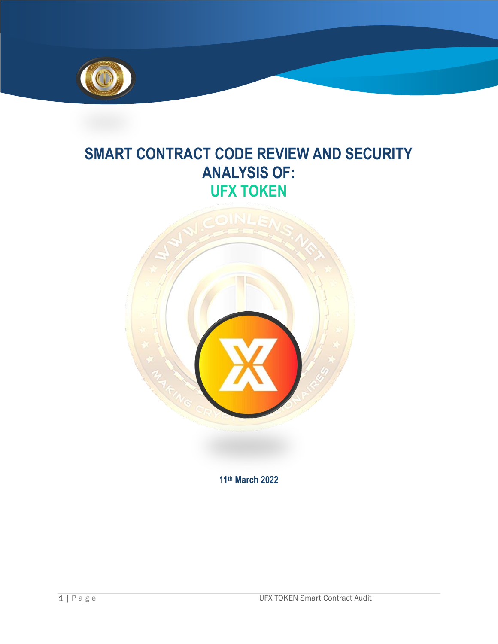

# **SMART CONTRACT CODE REVIEW AND SECURITY ANALYSIS OF: UFX TOKEN**



**11th March 2022**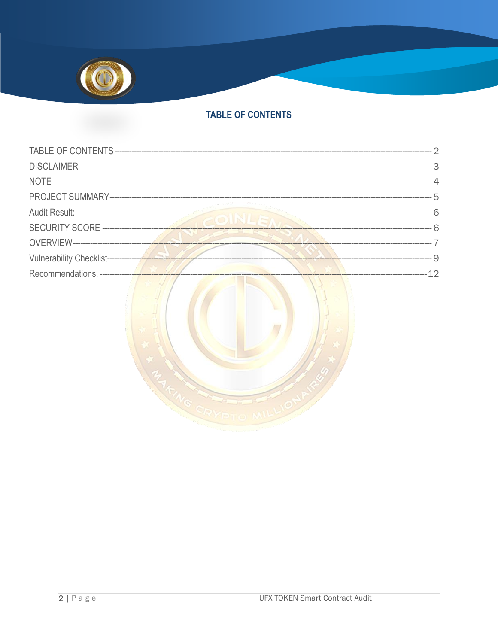

# **TABLE OF CONTENTS**

<span id="page-1-0"></span>

|                                 |  | ————————— 2 |
|---------------------------------|--|-------------|
|                                 |  | - 3         |
|                                 |  |             |
|                                 |  |             |
|                                 |  |             |
|                                 |  |             |
|                                 |  |             |
|                                 |  | 0           |
| Recommendations. -------------- |  | $-$ 12      |
|                                 |  |             |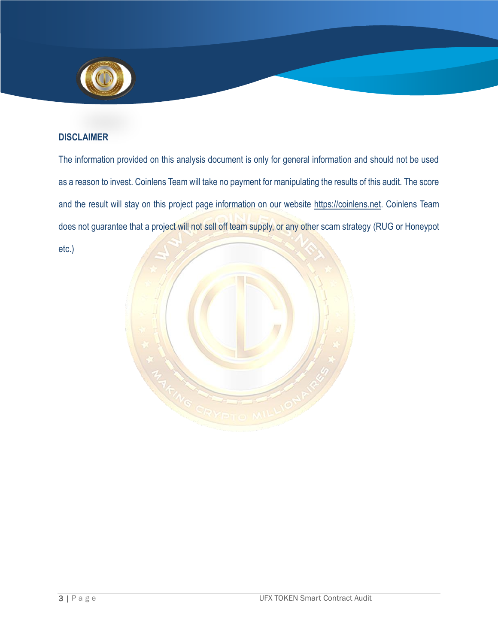

## <span id="page-2-0"></span>**DISCLAIMER**

The information provided on this analysis document is only for general information and should not be used as a reason to invest. Coinlens Team will take no payment for manipulating the results of this audit. The score and the result will stay on this project page information on our website [https://coinlens.net.](https://coinlens.net/) Coinlens Team does not guarantee that a project will not sell off team supply, or any other scam strategy (RUG or Honeypot etc.)

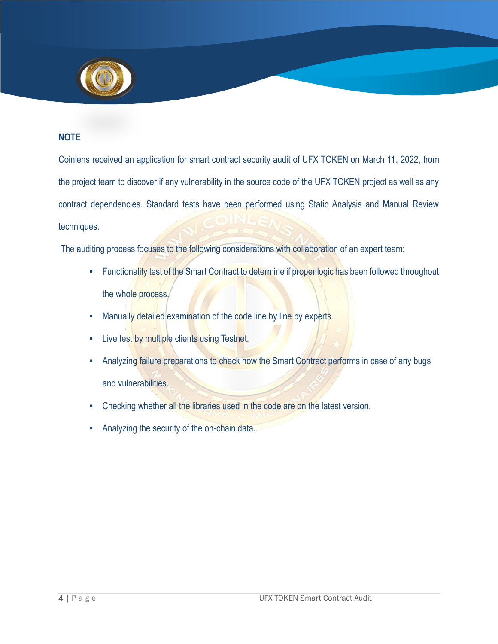

# <span id="page-3-0"></span>**NOTE**

Coinlens received an application for smart contract security audit of UFX TOKEN on March 11, 2022, from the project team to discover if any vulnerability in the source code of the UFX TOKEN project as well as any contract dependencies. Standard tests have been performed using Static Analysis and Manual Review techniques.

The auditing process focuses to the following considerations with collaboration of an expert team:

- Functionality test of the Smart Contract to determine if proper logic has been followed throughout the whole process.
- Manually detailed examination of the code line by line by experts.
- Live test by multiple clients using Testnet.
- Analyzing failure preparations to check how the Smart Contract performs in case of any bugs and vulnerabilities.
- Checking whether all the libraries used in the code are on the latest version.
- Analyzing the security of the on-chain data.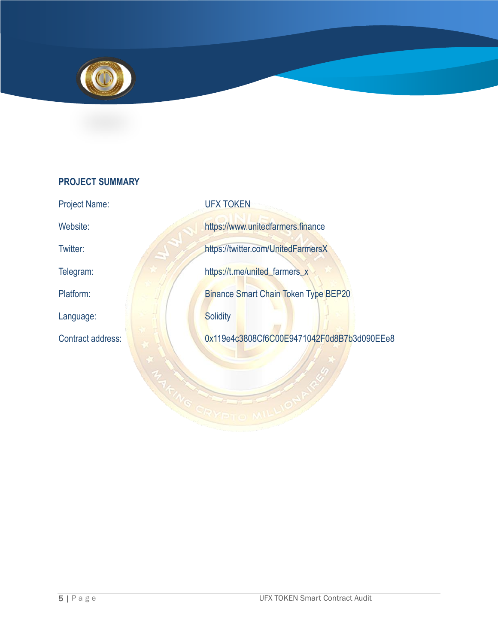

# <span id="page-4-0"></span>**PROJECT SUMMARY**

Language: **Solidity** Solidity

Project Name: UFX TOKEN Website: https://www.unitedfarmers.finance Twitter: https://twitter.com/UnitedFarmersX Telegram: https://t.me/united\_farmers\_x Platform: Binance Smart Chain Token Type BEP20 Contract address: 0x119e4c3808Cf6C00E9471042F0d8B7b3d090EEe8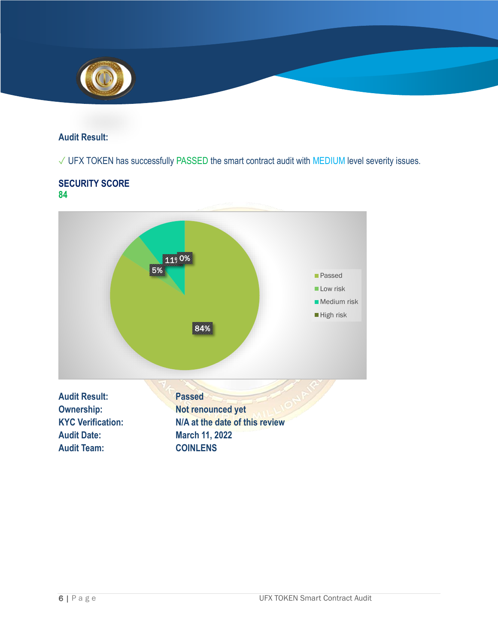

#### <span id="page-5-0"></span>**Audit Result:**

# ✓ UFX TOKEN has successfully PASSED the smart contract audit with MEDIUM level severity issues.

#### **SECURITY SCORE 84**

<span id="page-5-1"></span>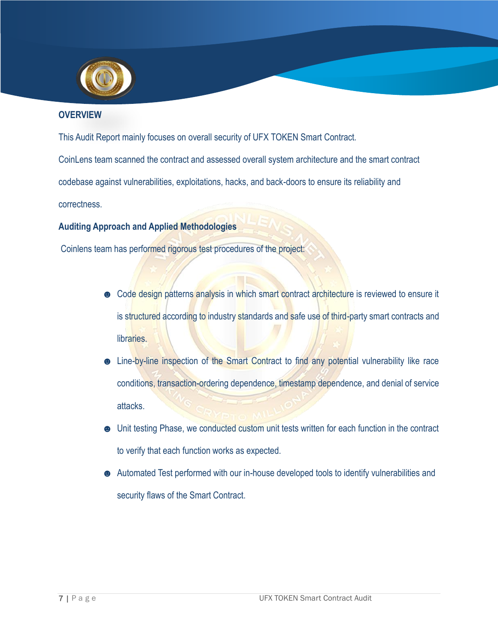

## <span id="page-6-0"></span>**OVERVIEW**

This Audit Report mainly focuses on overall security of UFX TOKEN Smart Contract.

CoinLens team scanned the contract and assessed overall system architecture and the smart contract

codebase against vulnerabilities, exploitations, hacks, and back-doors to ensure its reliability and

correctness.

# **Auditing Approach and Applied Methodologies**

Coinlens team has performed rigorous test procedures of the project:

- Code design patterns analysis in which smart contract architecture is reviewed to ensure it is structured according to industry standards and safe use of third-party smart contracts and libraries.
- **.** Line-by-line inspection of the Smart Contract to find any potential vulnerability like race conditions, transaction-ordering dependence, timestamp dependence, and denial of service attacks.
- ☻ Unit testing Phase, we conducted custom unit tests written for each function in the contract to verify that each function works as expected.
- ☻ Automated Test performed with our in-house developed tools to identify vulnerabilities and security flaws of the Smart Contract.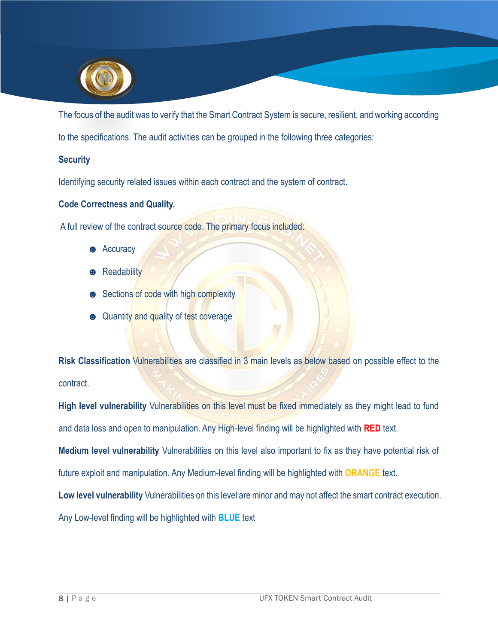

The focus of the audit was to verify that the Smart Contract System is secure, resilient, and working according

to the specifications. The audit activities can be grouped in the following three categories:

## **Security**

Identifying security related issues within each contract and the system of contract.

#### **Code Correctness and Quality.**

A full review of the contract source code. The primary focus included:

- **e** Accuracy
- $\bullet$  Readability
- **●** Sections of code with high complexity
- $\bullet$  Quantity and quality of test coverage

**Risk Classification** Vulnerabilities are classified in 3 main levels as below based on possible effect to the contract.

**High level vulnerability** Vulnerabilities on this level must be fixed immediately as they might lead to fund and data loss and open to manipulation. Any High-level finding will be highlighted with **RED** text.

**Medium level vulnerability** Vulnerabilities on this level also important to fix as they have potential risk of

future exploit and manipulation. Any Medium-level finding will be highlighted with **ORANGE** text.

**Low level vulnerability** Vulnerabilities on this level are minor and may not affect the smart contract execution.

Any Low-level finding will be highlighted with **BLUE** text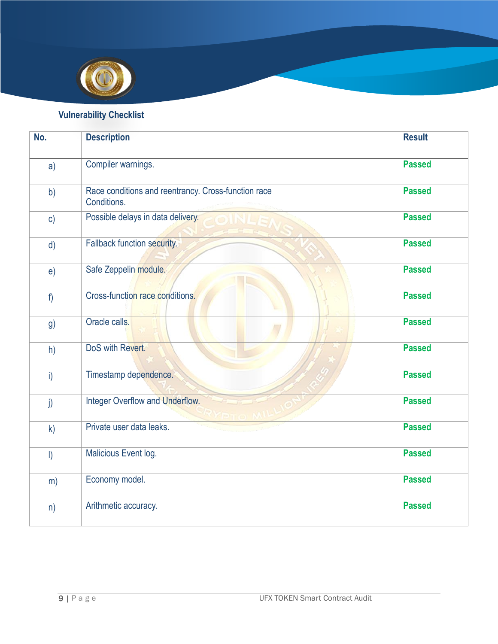

# **Vulnerability Checklist**

<span id="page-8-0"></span>

| No.          | <b>Description</b>                                                 | <b>Result</b> |
|--------------|--------------------------------------------------------------------|---------------|
| a)           | Compiler warnings.                                                 | <b>Passed</b> |
| b)           | Race conditions and reentrancy. Cross-function race<br>Conditions. | <b>Passed</b> |
| c)           | Possible delays in data delivery.                                  | <b>Passed</b> |
| $\mathsf{d}$ | Fallback function security.                                        | <b>Passed</b> |
| e)           | Safe Zeppelin module.                                              | <b>Passed</b> |
| f            | Cross-function race conditions.                                    | <b>Passed</b> |
| g)           | Oracle calls.                                                      | <b>Passed</b> |
| h)           | DoS with Revert.                                                   | <b>Passed</b> |
| i)           | Timestamp dependence.                                              | <b>Passed</b> |
| j)           | <b>Integer Overflow and Underflow.</b>                             | <b>Passed</b> |
| k)           | Private user data leaks.                                           | <b>Passed</b> |
| $\vert$      | Malicious Event log.                                               | <b>Passed</b> |
| m)           | Economy model.                                                     | <b>Passed</b> |
| n)           | Arithmetic accuracy.                                               | <b>Passed</b> |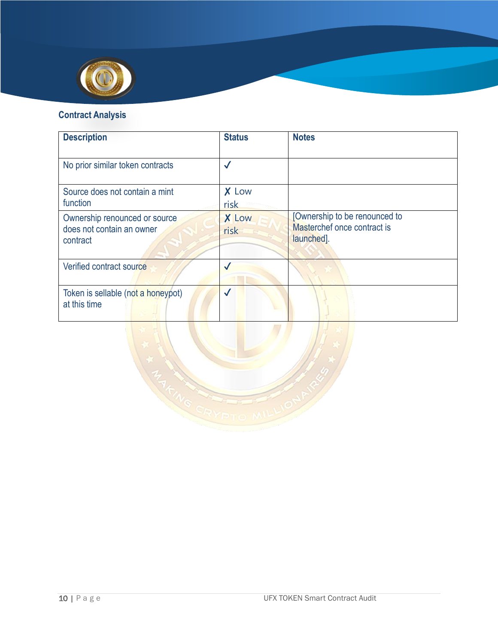

# **Contract Analysis**

| <b>Description</b>                                                     | <b>Status</b>        | <b>Notes</b>                                                               |
|------------------------------------------------------------------------|----------------------|----------------------------------------------------------------------------|
| No prior similar token contracts                                       | $\checkmark$         |                                                                            |
| Source does not contain a mint<br>function                             | X Low<br>risk        |                                                                            |
| Ownership renounced or source<br>does not contain an owner<br>contract | <b>X</b> Low<br>risk | [Ownership to be renounced to<br>Masterchef once contract is<br>launched]. |
| Verified contract source                                               |                      |                                                                            |
| Token is sellable (not a honeypot)<br>at this time                     | $\checkmark$         |                                                                            |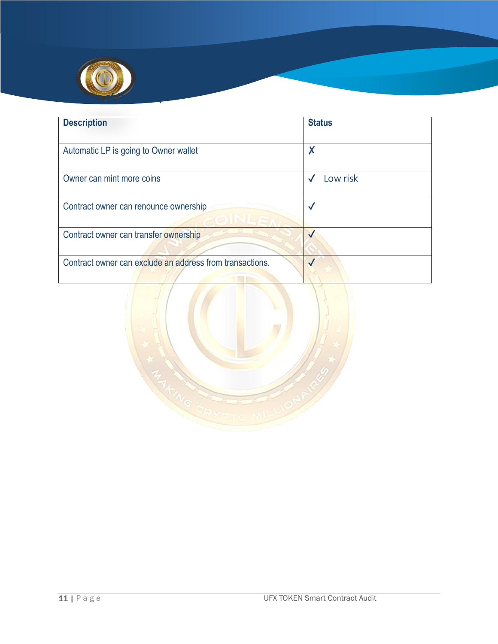

| <b>Description</b>                                       | <b>Status</b> |
|----------------------------------------------------------|---------------|
| Automatic LP is going to Owner wallet                    | X             |
| Owner can mint more coins                                | Low risk      |
| Contract owner can renounce ownership                    | √             |
| Contract owner can transfer ownership                    | $\checkmark$  |
| Contract owner can exclude an address from transactions. |               |

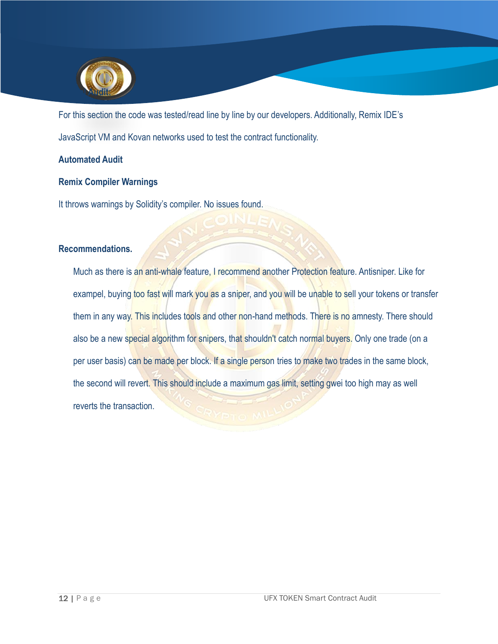

For this section the code was tested/read line by line by our developers. Additionally, Remix IDE's JavaScript VM and Kovan networks used to test the contract functionality.

## **Automated Audit**

#### **Remix Compiler Warnings**

It throws warnings by Solidity's compiler. No issues found.

#### <span id="page-11-0"></span>**Recommendations.**

Much as there is an anti-whale feature, I recommend another Protection feature. Antisniper. Like for exampel, buying too fast will mark you as a sniper, and you will be unable to sell your tokens or transfer them in any way. This includes tools and other non-hand methods. There is no amnesty. There should also be a new special algorithm for snipers, that shouldn't catch normal buyers. Only one trade (on a per user basis) can be made per block. If a single person tries to make two trades in the same block, the second will revert. This should include a maximum gas limit, setting gwei too high may as well reverts the transaction.